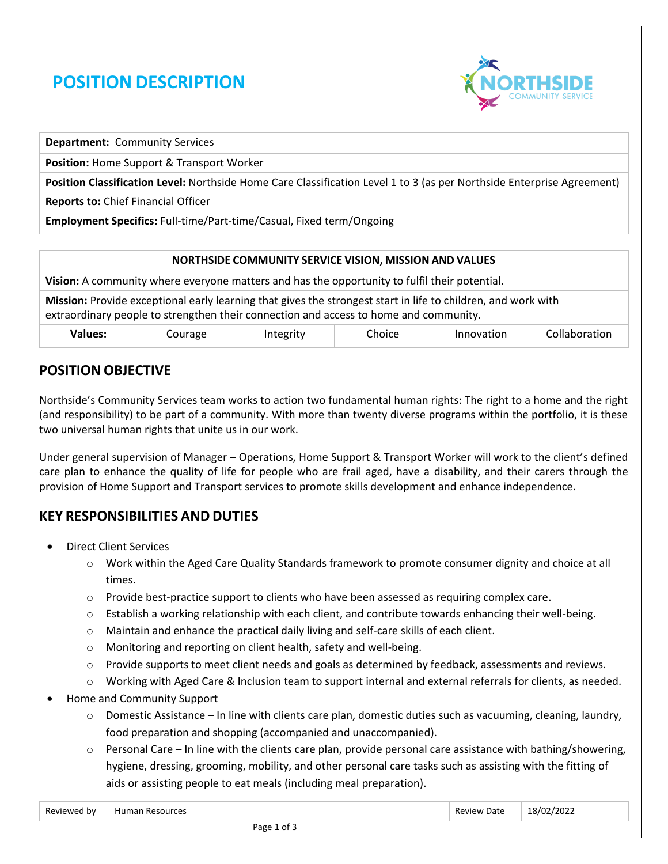# **POSITION DESCRIPTION**



**Department:** Community Services

**Position:** Home Support & Transport Worker

**Position Classification Level:** Northside Home Care Classification Level 1 to 3 (as per Northside Enterprise Agreement)

**Reports to:** Chief Financial Officer

**Employment Specifics:** Full-time/Part-time/Casual, Fixed term/Ongoing

#### **NORTHSIDE COMMUNITY SERVICE VISION, MISSION AND VALUES**

**Vision:** A community where everyone matters and has the opportunity to fulfil their potential.

**Mission:** Provide exceptional early learning that gives the strongest start in life to children, and work with extraordinary people to strengthen their connection and access to home and community.

| <b>Values:</b> | Courage | Integrity | ~'<br>Choice | Innovation | Collaboration |
|----------------|---------|-----------|--------------|------------|---------------|
|----------------|---------|-----------|--------------|------------|---------------|

### **POSITION OBJECTIVE**

Northside's Community Services team works to action two fundamental human rights: The right to a home and the right (and responsibility) to be part of a community. With more than twenty diverse programs within the portfolio, it is these two universal human rights that unite us in our work.

Under general supervision of Manager – Operations, Home Support & Transport Worker will work to the client's defined care plan to enhance the quality of life for people who are frail aged, have a disability, and their carers through the provision of Home Support and Transport services to promote skills development and enhance independence.

### **KEY RESPONSIBILITIES AND DUTIES**

- Direct Client Services
	- o Work within the Aged Care Quality Standards framework to promote consumer dignity and choice at all times.
	- $\circ$  Provide best-practice support to clients who have been assessed as requiring complex care.
	- $\circ$  Establish a working relationship with each client, and contribute towards enhancing their well-being.
	- o Maintain and enhance the practical daily living and self-care skills of each client.
	- o Monitoring and reporting on client health, safety and well-being.
	- $\circ$  Provide supports to meet client needs and goals as determined by feedback, assessments and reviews.
	- o Working with Aged Care & Inclusion team to support internal and external referrals for clients, as needed.
- Home and Community Support
	- $\circ$  Domestic Assistance In line with clients care plan, domestic duties such as vacuuming, cleaning, laundry, food preparation and shopping (accompanied and unaccompanied).
	- $\circ$  Personal Care In line with the clients care plan, provide personal care assistance with bathing/showering, hygiene, dressing, grooming, mobility, and other personal care tasks such as assisting with the fitting of aids or assisting people to eat meals (including meal preparation).

| -<br>Reviewer<br>' hv | urcos<br>Hum <sup>-</sup><br>ildi<br>n r<br>.<br>. | Date<br>111 Q 18 | /2022<br>. 8 I C |  |
|-----------------------|----------------------------------------------------|------------------|------------------|--|
|                       | $D = - - 4$<br>--                                  |                  |                  |  |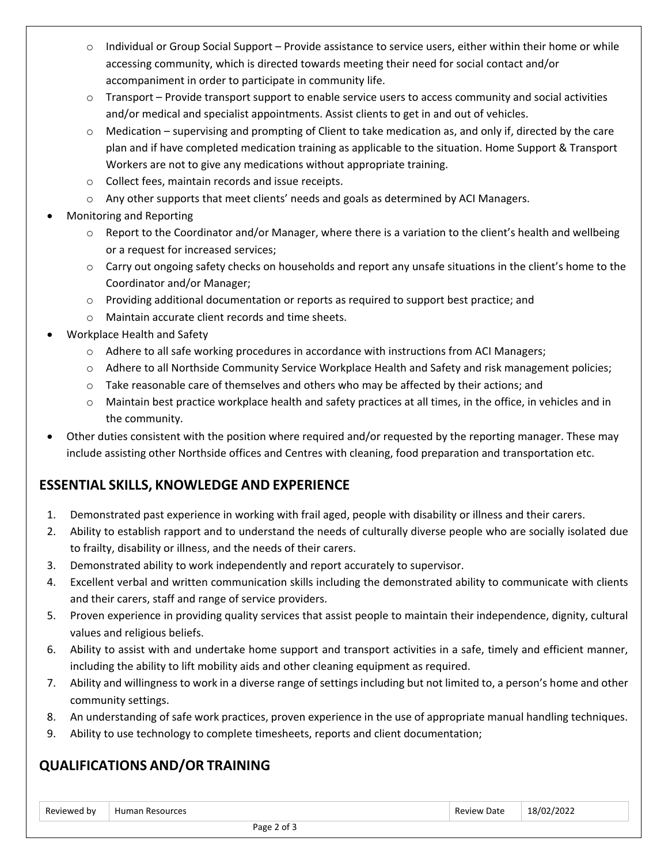- $\circ$  Individual or Group Social Support Provide assistance to service users, either within their home or while accessing community, which is directed towards meeting their need for social contact and/or accompaniment in order to participate in community life.
- $\circ$  Transport Provide transport support to enable service users to access community and social activities and/or medical and specialist appointments. Assist clients to get in and out of vehicles.
- $\circ$  Medication supervising and prompting of Client to take medication as, and only if, directed by the care plan and if have completed medication training as applicable to the situation. Home Support & Transport Workers are not to give any medications without appropriate training.
- o Collect fees, maintain records and issue receipts.
- o Any other supports that meet clients' needs and goals as determined by ACI Managers.
- Monitoring and Reporting
	- $\circ$  Report to the Coordinator and/or Manager, where there is a variation to the client's health and wellbeing or a request for increased services;
	- $\circ$  Carry out ongoing safety checks on households and report any unsafe situations in the client's home to the Coordinator and/or Manager;
	- o Providing additional documentation or reports as required to support best practice; and
	- o Maintain accurate client records and time sheets.
- Workplace Health and Safety
	- o Adhere to all safe working procedures in accordance with instructions from ACI Managers;
	- o Adhere to all Northside Community Service Workplace Health and Safety and risk management policies;
	- $\circ$  Take reasonable care of themselves and others who may be affected by their actions; and
	- o Maintain best practice workplace health and safety practices at all times, in the office, in vehicles and in the community.
- Other duties consistent with the position where required and/or requested by the reporting manager. These may include assisting other Northside offices and Centres with cleaning, food preparation and transportation etc.

## **ESSENTIAL SKILLS, KNOWLEDGE AND EXPERIENCE**

- 1. Demonstrated past experience in working with frail aged, people with disability or illness and their carers.
- 2. Ability to establish rapport and to understand the needs of culturally diverse people who are socially isolated due to frailty, disability or illness, and the needs of their carers.
- 3. Demonstrated ability to work independently and report accurately to supervisor.
- 4. Excellent verbal and written communication skills including the demonstrated ability to communicate with clients and their carers, staff and range of service providers.
- 5. Proven experience in providing quality services that assist people to maintain their independence, dignity, cultural values and religious beliefs.
- 6. Ability to assist with and undertake home support and transport activities in a safe, timely and efficient manner, including the ability to lift mobility aids and other cleaning equipment as required.
- 7. Ability and willingness to work in a diverse range of settings including but not limited to, a person's home and other community settings.
- 8. An understanding of safe work practices, proven experience in the use of appropriate manual handling techniques.
- 9. Ability to use technology to complete timesheets, reports and client documentation;

### **QUALIFICATIONS AND/OR TRAINING**

| Reviewer<br>bv | .<br><b>H</b> umar<br>ources | $\sim$<br>Date<br>$\sim$ | 120 <sup>o</sup><br>18/2 |  |
|----------------|------------------------------|--------------------------|--------------------------|--|
|                |                              |                          |                          |  |